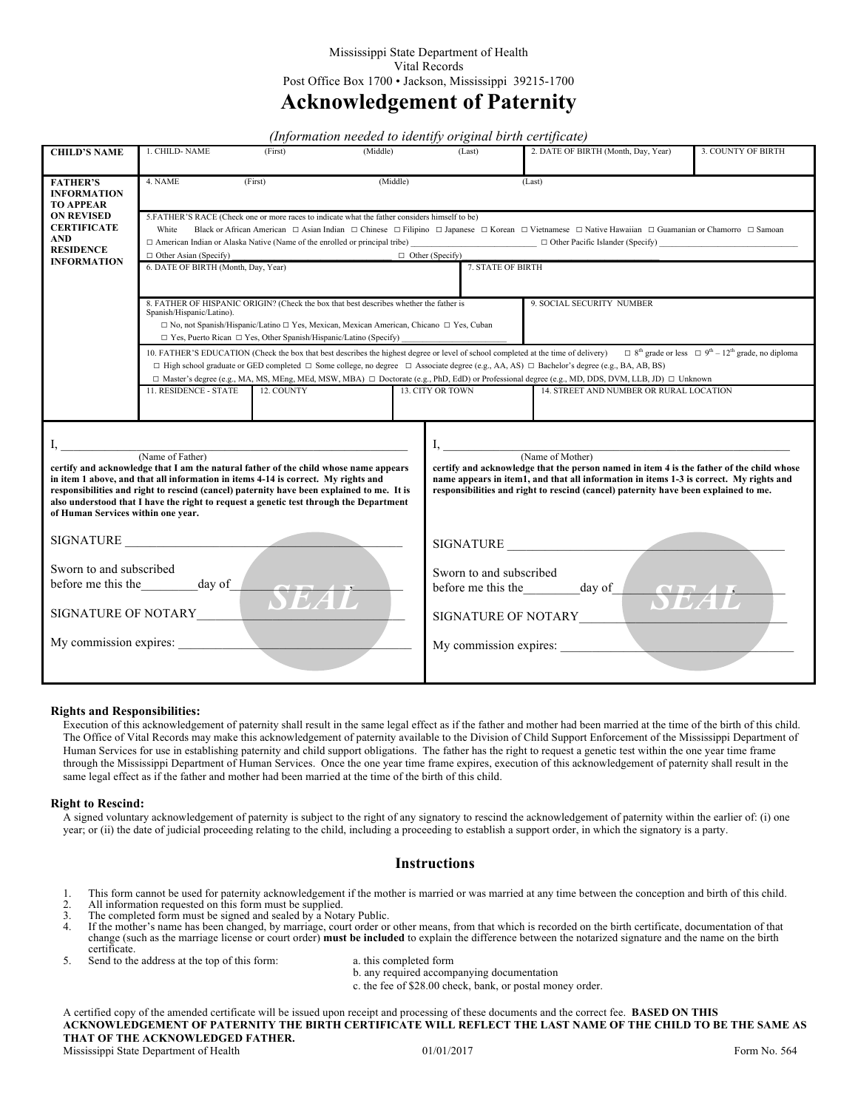## Mississippi State Department of Health Vital Records Post Office Box 1700 • Jackson, Mississippi 39215-1700 **Acknowledgement of Paternity**

### *(Information needed to identify original birth certificate)*

| <b>CHILD'S NAME</b>                                                                                                                                                                                                                                                                                                                                                                                                             | 1. CHILD-NAME                                                                                                                                                                                                                                                                                                                                                                                                                                                                                                                                                                                                                                                    | (First)                                                                                                                                                                                                                                                                                                                                                                                                                                                                      | (Middle) | (Last)                                                                                                                                                                                                                                                                                             | 2. DATE OF BIRTH (Month, Day, Year) | 3. COUNTY OF BIRTH |  |
|---------------------------------------------------------------------------------------------------------------------------------------------------------------------------------------------------------------------------------------------------------------------------------------------------------------------------------------------------------------------------------------------------------------------------------|------------------------------------------------------------------------------------------------------------------------------------------------------------------------------------------------------------------------------------------------------------------------------------------------------------------------------------------------------------------------------------------------------------------------------------------------------------------------------------------------------------------------------------------------------------------------------------------------------------------------------------------------------------------|------------------------------------------------------------------------------------------------------------------------------------------------------------------------------------------------------------------------------------------------------------------------------------------------------------------------------------------------------------------------------------------------------------------------------------------------------------------------------|----------|----------------------------------------------------------------------------------------------------------------------------------------------------------------------------------------------------------------------------------------------------------------------------------------------------|-------------------------------------|--------------------|--|
| <b>FATHER'S</b><br><b>INFORMATION</b><br><b>TO APPEAR</b>                                                                                                                                                                                                                                                                                                                                                                       | 4. NAME                                                                                                                                                                                                                                                                                                                                                                                                                                                                                                                                                                                                                                                          | (First)                                                                                                                                                                                                                                                                                                                                                                                                                                                                      | (Middle) |                                                                                                                                                                                                                                                                                                    | (Last)                              |                    |  |
| <b>ON REVISED</b><br><b>CERTIFICATE</b><br><b>AND</b><br><b>RESIDENCE</b><br><b>INFORMATION</b>                                                                                                                                                                                                                                                                                                                                 | White<br>$\Box$ Other Asian (Specify)<br>6. DATE OF BIRTH (Month, Day, Year)                                                                                                                                                                                                                                                                                                                                                                                                                                                                                                                                                                                     | 5. FATHER'S RACE (Check one or more races to indicate what the father considers himself to be)<br>Black or African American $\Box$ Asian Indian $\Box$ Chinese $\Box$ Filipino $\Box$ Japanese $\Box$ Korean $\Box$ Vietnamese $\Box$ Native Hawaiian $\Box$ Guamanian or Chamorro $\Box$ Samoan<br>$\Box$ American Indian or Alaska Native (Name of the enrolled or principal tribe) $\Box$ Other Pacific Islander (Specify)<br>$\Box$ Other (Specify)<br>7. STATE OF BIRTH |          |                                                                                                                                                                                                                                                                                                    |                                     |                    |  |
|                                                                                                                                                                                                                                                                                                                                                                                                                                 | 8. FATHER OF HISPANIC ORIGIN? (Check the box that best describes whether the father is<br>Spanish/Hispanic/Latino).                                                                                                                                                                                                                                                                                                                                                                                                                                                                                                                                              | $\Box$ No, not Spanish/Hispanic/Latino $\Box$ Yes, Mexican, Mexican American, Chicano $\Box$ Yes, Cuban<br>$\Box$ Yes, Puerto Rican $\Box$ Yes, Other Spanish/Hispanic/Latino (Specify)                                                                                                                                                                                                                                                                                      |          |                                                                                                                                                                                                                                                                                                    | 9. SOCIAL SECURITY NUMBER           |                    |  |
|                                                                                                                                                                                                                                                                                                                                                                                                                                 | 10. FATHER'S EDUCATION (Check the box that best describes the highest degree or level of school completed at the time of delivery) $\Box$ $\mathbb{B}^{th}$ grade or less $\Box$ $\mathbb{P}^{th}$ grade, no diploma<br>$\Box$ High school graduate or GED completed $\Box$ Some college, no degree $\Box$ Associate degree (e.g., AA, AS) $\Box$ Bachelor's degree (e.g., BA, AB, BS)<br>$\Box$ Master's degree (e.g., MA, MS, MEng, MEd, MSW, MBA) $\Box$ Doctorate (e.g., PhD, EdD) or Professional degree (e.g., MD, DDS, DVM, LLB, JD) $\Box$ Unknown<br>11. RESIDENCE - STATE<br>14. STREET AND NUMBER OR RURAL LOCATION<br>12. COUNTY<br>13. CITY OR TOWN |                                                                                                                                                                                                                                                                                                                                                                                                                                                                              |          |                                                                                                                                                                                                                                                                                                    |                                     |                    |  |
|                                                                                                                                                                                                                                                                                                                                                                                                                                 |                                                                                                                                                                                                                                                                                                                                                                                                                                                                                                                                                                                                                                                                  |                                                                                                                                                                                                                                                                                                                                                                                                                                                                              |          |                                                                                                                                                                                                                                                                                                    |                                     |                    |  |
| $I,$ (Name of Father)<br>certify and acknowledge that I am the natural father of the child whose name appears<br>in item 1 above, and that all information in items 4-14 is correct. My rights and<br>responsibilities and right to rescind (cancel) paternity have been explained to me. It is<br>also understood that I have the right to request a genetic test through the Department<br>of Human Services within one year. |                                                                                                                                                                                                                                                                                                                                                                                                                                                                                                                                                                                                                                                                  |                                                                                                                                                                                                                                                                                                                                                                                                                                                                              |          | $I,$ (Name of Mother)<br>certify and acknowledge that the person named in item 4 is the father of the child whose<br>name appears in item1, and that all information in items 1-3 is correct. My rights and<br>responsibilities and right to rescind (cancel) paternity have been explained to me. |                                     |                    |  |
| SIGNATURE                                                                                                                                                                                                                                                                                                                                                                                                                       |                                                                                                                                                                                                                                                                                                                                                                                                                                                                                                                                                                                                                                                                  |                                                                                                                                                                                                                                                                                                                                                                                                                                                                              |          | SIGNATURE                                                                                                                                                                                                                                                                                          |                                     |                    |  |
| Sworn to and subscribed<br>before me this the day of<br>SIGNATURE OF NOTARY                                                                                                                                                                                                                                                                                                                                                     |                                                                                                                                                                                                                                                                                                                                                                                                                                                                                                                                                                                                                                                                  |                                                                                                                                                                                                                                                                                                                                                                                                                                                                              |          | Sworn to and subscribed<br>before me this the day of<br><i>SEA</i>                                                                                                                                                                                                                                 |                                     |                    |  |
| My commission expires:                                                                                                                                                                                                                                                                                                                                                                                                          |                                                                                                                                                                                                                                                                                                                                                                                                                                                                                                                                                                                                                                                                  |                                                                                                                                                                                                                                                                                                                                                                                                                                                                              |          | SIGNATURE OF NOTARY<br>My commission expires:                                                                                                                                                                                                                                                      |                                     |                    |  |

#### **Rights and Responsibilities:**

 Execution of this acknowledgement of paternity shall result in the same legal effect as if the father and mother had been married at the time of the birth of this child. The Office of Vital Records may make this acknowledgement of paternity available to the Division of Child Support Enforcement of the Mississippi Department of Human Services for use in establishing paternity and child support obligations. The father has the right to request a genetic test within the one year time frame through the Mississippi Department of Human Services. Once the one year time frame expires, execution of this acknowledgement of paternity shall result in the same legal effect as if the father and mother had been married at the time of the birth of this child.

#### **Right to Rescind:**

A signed voluntary acknowledgement of paternity is subject to the right of any signatory to rescind the acknowledgement of paternity within the earlier of: (i) one year; or (ii) the date of judicial proceeding relating to the child, including a proceeding to establish a support order, in which the signatory is a party.

### **Instructions**

- 1. This form cannot be used for paternity acknowledgement if the mother is married or was married at any time between the conception and birth of this child.
- 2. All information requested on this form must be supplied.<br>3. The completed form must be signed and sealed by a Nota
- 3. The completed form must be signed and sealed by a Notary Public.<br>4. If the mother's name has been changed, by marriage, court order or
- If the mother's name has been changed, by marriage, court order or other means, from that which is recorded on the birth certificate, documentation of that change (such as the marriage license or court order) **must be included** to explain the difference between the notarized signature and the name on the birth certificate.
- 5. Send to the address at the top of this form: a. this completed form

- b. any required accompanying documentation
- c. the fee of \$28.00 check, bank, or postal money order.

A certified copy of the amended certificate will be issued upon receipt and processing of these documents and the correct fee. **BASED ON THIS ACKNOWLEDGEMENT OF PATERNITY THE BIRTH CERTIFICATE WILL REFLECT THE LAST NAME OF THE CHILD TO BE THE SAME AS THAT OF THE ACKNOWLEDGED FATHER.** Mississippi State Department of Health 01/01/2017 01/01/2017 Form No. 564